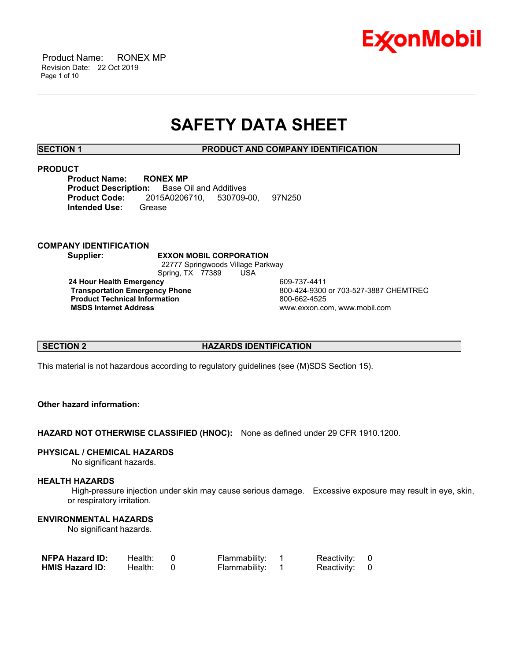

# **SAFETY DATA SHEET**

\_\_\_\_\_\_\_\_\_\_\_\_\_\_\_\_\_\_\_\_\_\_\_\_\_\_\_\_\_\_\_\_\_\_\_\_\_\_\_\_\_\_\_\_\_\_\_\_\_\_\_\_\_\_\_\_\_\_\_\_\_\_\_\_\_\_\_\_\_\_\_\_\_\_\_\_\_\_\_\_\_\_\_\_\_\_\_\_\_\_\_\_\_\_\_\_\_\_\_\_\_\_\_\_\_\_\_\_\_\_\_\_\_\_\_\_\_\_

**SECTION 1 PRODUCT AND COMPANY IDENTIFICATION**

#### **PRODUCT**

**Product Name: RONEX MP Product Description:** Base Oil and Additives **Product Code:** 2015A0206710, 530709-00, 97N250 **Intended Use:** Grease

### **COMPANY IDENTIFICATION**

**Supplier: EXXON MOBIL CORPORATION** 22777 Springwoods Village Parkway Spring, TX 77389 USA **24 Hour Health Emergency** 609-737-4411 **Product Technical Information**<br> **MSDS Internet Address**<br> **MSDS Internet Address** 

**Transportation Emergency Phone** 800-424-9300 or 703-527-3887 CHEMTREC  **MSDS Internet Address** www.exxon.com, www.mobil.com

### **SECTION 2 HAZARDS IDENTIFICATION**

This material is not hazardous according to regulatory guidelines (see (M)SDS Section 15).

# **Other hazard information:**

**HAZARD NOT OTHERWISE CLASSIFIED (HNOC):** None as defined under 29 CFR 1910.1200.

#### **PHYSICAL / CHEMICAL HAZARDS**

No significant hazards.

### **HEALTH HAZARDS**

 High-pressure injection under skin may cause serious damage. Excessive exposure may result in eye, skin, or respiratory irritation.

# **ENVIRONMENTAL HAZARDS**

No significant hazards.

| <b>NFPA Hazard ID:</b> | Health: | Flammability: | Reactivity: 0 |  |
|------------------------|---------|---------------|---------------|--|
| <b>HMIS Hazard ID:</b> | Health: | Flammability: | Reactivity: 0 |  |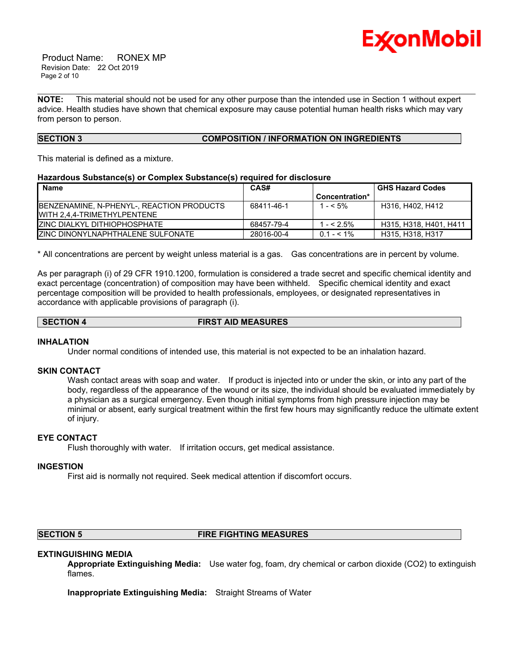

 Product Name: RONEX MP Revision Date: 22 Oct 2019 Page 2 of 10

**NOTE:** This material should not be used for any other purpose than the intended use in Section 1 without expert advice. Health studies have shown that chemical exposure may cause potential human health risks which may vary from person to person.

\_\_\_\_\_\_\_\_\_\_\_\_\_\_\_\_\_\_\_\_\_\_\_\_\_\_\_\_\_\_\_\_\_\_\_\_\_\_\_\_\_\_\_\_\_\_\_\_\_\_\_\_\_\_\_\_\_\_\_\_\_\_\_\_\_\_\_\_\_\_\_\_\_\_\_\_\_\_\_\_\_\_\_\_\_\_\_\_\_\_\_\_\_\_\_\_\_\_\_\_\_\_\_\_\_\_\_\_\_\_\_\_\_\_\_\_\_\_

# **SECTION 3 COMPOSITION / INFORMATION ON INGREDIENTS**

This material is defined as a mixture.

#### **Hazardous Substance(s) or Complex Substance(s) required for disclosure**

| <b>Name</b>                               | CAS#       |                | <b>GHS Hazard Codes</b> |
|-------------------------------------------|------------|----------------|-------------------------|
|                                           |            | Concentration* |                         |
| BENZENAMINE, N-PHENYL-, REACTION PRODUCTS | 68411-46-1 | 1 - < 5%       | H316, H402, H412        |
| IWITH 2.4.4-TRIMETHYLPENTENE              |            |                |                         |
| IZINC DIALKYL DITHIOPHOSPHATE             | 68457-79-4 | $- < 2.5\%$    | H315, H318, H401, H411  |
| <b>IZINC DINONYLNAPHTHALENE SULFONATE</b> | 28016-00-4 | $0.1 - 5.1\%$  | H315, H318, H317        |

\* All concentrations are percent by weight unless material is a gas. Gas concentrations are in percent by volume.

As per paragraph (i) of 29 CFR 1910.1200, formulation is considered a trade secret and specific chemical identity and exact percentage (concentration) of composition may have been withheld. Specific chemical identity and exact percentage composition will be provided to health professionals, employees, or designated representatives in accordance with applicable provisions of paragraph (i).

#### **SECTION 4 FIRST AID MEASURES**

#### **INHALATION**

Under normal conditions of intended use, this material is not expected to be an inhalation hazard.

#### **SKIN CONTACT**

Wash contact areas with soap and water. If product is injected into or under the skin, or into any part of the body, regardless of the appearance of the wound or its size, the individual should be evaluated immediately by a physician as a surgical emergency. Even though initial symptoms from high pressure injection may be minimal or absent, early surgical treatment within the first few hours may significantly reduce the ultimate extent of injury.

### **EYE CONTACT**

Flush thoroughly with water. If irritation occurs, get medical assistance.

#### **INGESTION**

First aid is normally not required. Seek medical attention if discomfort occurs.

# **SECTION 5 FIRE FIGHTING MEASURES**

# **EXTINGUISHING MEDIA**

**Appropriate Extinguishing Media:** Use water fog, foam, dry chemical or carbon dioxide (CO2) to extinguish flames.

**Inappropriate Extinguishing Media:** Straight Streams of Water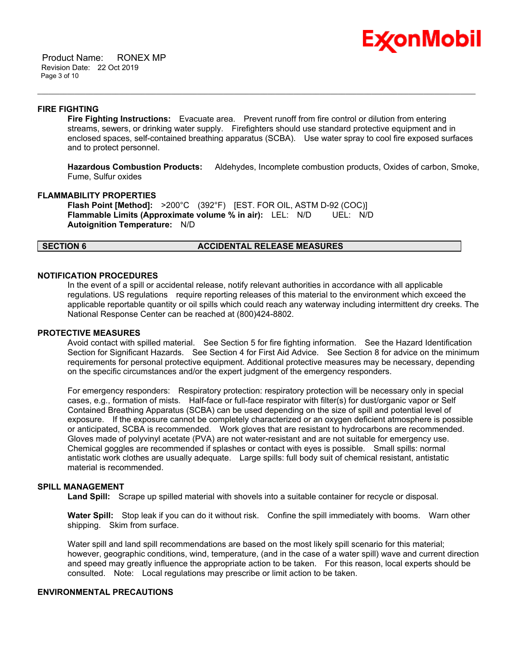

 Product Name: RONEX MP Revision Date: 22 Oct 2019 Page 3 of 10

#### **FIRE FIGHTING**

**Fire Fighting Instructions:** Evacuate area. Prevent runoff from fire control or dilution from entering streams, sewers, or drinking water supply. Firefighters should use standard protective equipment and in enclosed spaces, self-contained breathing apparatus (SCBA). Use water spray to cool fire exposed surfaces and to protect personnel.

\_\_\_\_\_\_\_\_\_\_\_\_\_\_\_\_\_\_\_\_\_\_\_\_\_\_\_\_\_\_\_\_\_\_\_\_\_\_\_\_\_\_\_\_\_\_\_\_\_\_\_\_\_\_\_\_\_\_\_\_\_\_\_\_\_\_\_\_\_\_\_\_\_\_\_\_\_\_\_\_\_\_\_\_\_\_\_\_\_\_\_\_\_\_\_\_\_\_\_\_\_\_\_\_\_\_\_\_\_\_\_\_\_\_\_\_\_\_

**Hazardous Combustion Products:** Aldehydes, Incomplete combustion products, Oxides of carbon, Smoke, Fume, Sulfur oxides

#### **FLAMMABILITY PROPERTIES**

**Flash Point [Method]:** >200°C (392°F) [EST. FOR OIL, ASTM D-92 (COC)] **Flammable Limits (Approximate volume % in air):** LEL: N/D UEL: N/D **Autoignition Temperature:** N/D

#### **SECTION 6 ACCIDENTAL RELEASE MEASURES**

### **NOTIFICATION PROCEDURES**

In the event of a spill or accidental release, notify relevant authorities in accordance with all applicable regulations. US regulations require reporting releases of this material to the environment which exceed the applicable reportable quantity or oil spills which could reach any waterway including intermittent dry creeks. The National Response Center can be reached at (800)424-8802.

#### **PROTECTIVE MEASURES**

Avoid contact with spilled material. See Section 5 for fire fighting information. See the Hazard Identification Section for Significant Hazards. See Section 4 for First Aid Advice. See Section 8 for advice on the minimum requirements for personal protective equipment. Additional protective measures may be necessary, depending on the specific circumstances and/or the expert judgment of the emergency responders.

For emergency responders: Respiratory protection: respiratory protection will be necessary only in special cases, e.g., formation of mists. Half-face or full-face respirator with filter(s) for dust/organic vapor or Self Contained Breathing Apparatus (SCBA) can be used depending on the size of spill and potential level of exposure. If the exposure cannot be completely characterized or an oxygen deficient atmosphere is possible or anticipated, SCBA is recommended. Work gloves that are resistant to hydrocarbons are recommended. Gloves made of polyvinyl acetate (PVA) are not water-resistant and are not suitable for emergency use. Chemical goggles are recommended if splashes or contact with eyes is possible. Small spills: normal antistatic work clothes are usually adequate. Large spills: full body suit of chemical resistant, antistatic material is recommended.

#### **SPILL MANAGEMENT**

**Land Spill:** Scrape up spilled material with shovels into a suitable container for recycle or disposal.

**Water Spill:** Stop leak if you can do it without risk. Confine the spill immediately with booms. Warn other shipping. Skim from surface.

Water spill and land spill recommendations are based on the most likely spill scenario for this material; however, geographic conditions, wind, temperature, (and in the case of a water spill) wave and current direction and speed may greatly influence the appropriate action to be taken. For this reason, local experts should be consulted. Note: Local regulations may prescribe or limit action to be taken.

### **ENVIRONMENTAL PRECAUTIONS**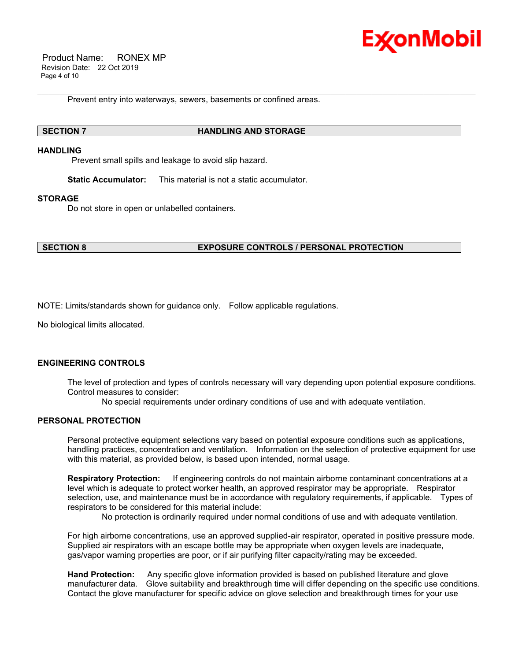

 Product Name: RONEX MP Revision Date: 22 Oct 2019 Page 4 of 10

Prevent entry into waterways, sewers, basements or confined areas.

\_\_\_\_\_\_\_\_\_\_\_\_\_\_\_\_\_\_\_\_\_\_\_\_\_\_\_\_\_\_\_\_\_\_\_\_\_\_\_\_\_\_\_\_\_\_\_\_\_\_\_\_\_\_\_\_\_\_\_\_\_\_\_\_\_\_\_\_\_\_\_\_\_\_\_\_\_\_\_\_\_\_\_\_\_\_\_\_\_\_\_\_\_\_\_\_\_\_\_\_\_\_\_\_\_\_\_\_\_\_\_\_\_\_\_\_\_\_

#### **SECTION 7 HANDLING AND STORAGE**

#### **HANDLING**

Prevent small spills and leakage to avoid slip hazard.

**Static Accumulator:** This material is not a static accumulator.

#### **STORAGE**

Do not store in open or unlabelled containers.

**SECTION 8 EXPOSURE CONTROLS / PERSONAL PROTECTION**

NOTE: Limits/standards shown for guidance only. Follow applicable regulations.

No biological limits allocated.

# **ENGINEERING CONTROLS**

The level of protection and types of controls necessary will vary depending upon potential exposure conditions. Control measures to consider:

No special requirements under ordinary conditions of use and with adequate ventilation.

#### **PERSONAL PROTECTION**

Personal protective equipment selections vary based on potential exposure conditions such as applications, handling practices, concentration and ventilation. Information on the selection of protective equipment for use with this material, as provided below, is based upon intended, normal usage.

**Respiratory Protection:** If engineering controls do not maintain airborne contaminant concentrations at a level which is adequate to protect worker health, an approved respirator may be appropriate. Respirator selection, use, and maintenance must be in accordance with regulatory requirements, if applicable. Types of respirators to be considered for this material include:

No protection is ordinarily required under normal conditions of use and with adequate ventilation.

For high airborne concentrations, use an approved supplied-air respirator, operated in positive pressure mode. Supplied air respirators with an escape bottle may be appropriate when oxygen levels are inadequate, gas/vapor warning properties are poor, or if air purifying filter capacity/rating may be exceeded.

**Hand Protection:** Any specific glove information provided is based on published literature and glove manufacturer data. Glove suitability and breakthrough time will differ depending on the specific use conditions. Contact the glove manufacturer for specific advice on glove selection and breakthrough times for your use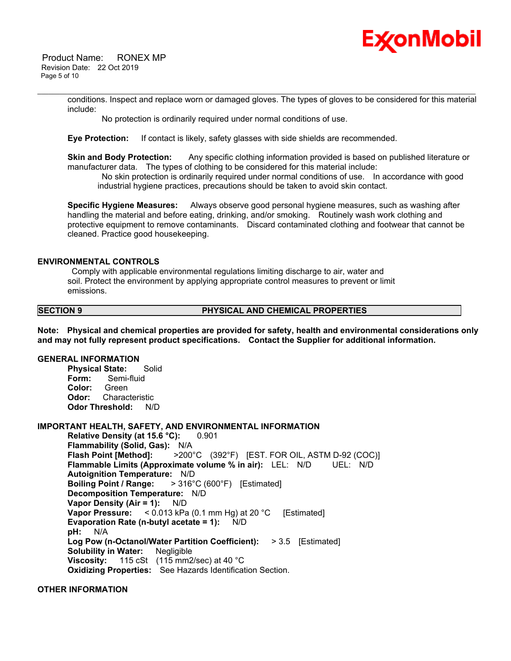

 Product Name: RONEX MP Revision Date: 22 Oct 2019 Page 5 of 10

> conditions. Inspect and replace worn or damaged gloves. The types of gloves to be considered for this material include:

\_\_\_\_\_\_\_\_\_\_\_\_\_\_\_\_\_\_\_\_\_\_\_\_\_\_\_\_\_\_\_\_\_\_\_\_\_\_\_\_\_\_\_\_\_\_\_\_\_\_\_\_\_\_\_\_\_\_\_\_\_\_\_\_\_\_\_\_\_\_\_\_\_\_\_\_\_\_\_\_\_\_\_\_\_\_\_\_\_\_\_\_\_\_\_\_\_\_\_\_\_\_\_\_\_\_\_\_\_\_\_\_\_\_\_\_\_\_

No protection is ordinarily required under normal conditions of use.

**Eye Protection:** If contact is likely, safety glasses with side shields are recommended.

**Skin and Body Protection:** Any specific clothing information provided is based on published literature or manufacturer data. The types of clothing to be considered for this material include:

 No skin protection is ordinarily required under normal conditions of use. In accordance with good industrial hygiene practices, precautions should be taken to avoid skin contact.

**Specific Hygiene Measures:** Always observe good personal hygiene measures, such as washing after handling the material and before eating, drinking, and/or smoking. Routinely wash work clothing and protective equipment to remove contaminants. Discard contaminated clothing and footwear that cannot be cleaned. Practice good housekeeping.

#### **ENVIRONMENTAL CONTROLS**

 Comply with applicable environmental regulations limiting discharge to air, water and soil. Protect the environment by applying appropriate control measures to prevent or limit emissions.

#### **SECTION 9 PHYSICAL AND CHEMICAL PROPERTIES**

**Note: Physical and chemical properties are provided for safety, health and environmental considerations only and may not fully represent product specifications. Contact the Supplier for additional information.**

#### **GENERAL INFORMATION**

**Physical State:** Solid **Form:** Semi-fluid **Color:** Green **Odor:** Characteristic **Odor Threshold:** N/D

### **IMPORTANT HEALTH, SAFETY, AND ENVIRONMENTAL INFORMATION**

**Relative Density (at 15.6 °C):** 0.901 **Flammability (Solid, Gas):** N/A **Flash Point [Method]:** >200°C (392°F) [EST. FOR OIL, ASTM D-92 (COC)] **Flammable Limits (Approximate volume % in air):** LEL: N/D UEL: N/D **Autoignition Temperature:** N/D **Boiling Point / Range:** > 316°C (600°F) [Estimated] **Decomposition Temperature:** N/D **Vapor Density (Air = 1):** N/D **Vapor Pressure:** < 0.013 kPa (0.1 mm Hg) at 20 °C [Estimated] **Evaporation Rate (n-butyl acetate = 1):** N/D **pH:** N/A **Log Pow (n-Octanol/Water Partition Coefficient):** > 3.5 [Estimated] **Solubility in Water:** Negligible **Viscosity:** 115 cSt (115 mm2/sec) at 40 °C **Oxidizing Properties:** See Hazards Identification Section.

# **OTHER INFORMATION**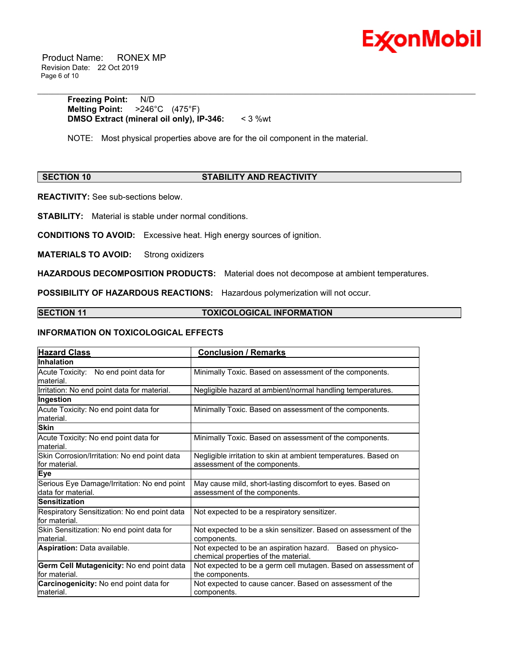

 Product Name: RONEX MP Revision Date: 22 Oct 2019 Page 6 of 10

> **Freezing Point:** N/D **Melting Point:** >246°C (475°F) **DMSO Extract (mineral oil only), IP-346:** < 3 %wt

NOTE: Most physical properties above are for the oil component in the material.

# **SECTION 10 STABILITY AND REACTIVITY**

\_\_\_\_\_\_\_\_\_\_\_\_\_\_\_\_\_\_\_\_\_\_\_\_\_\_\_\_\_\_\_\_\_\_\_\_\_\_\_\_\_\_\_\_\_\_\_\_\_\_\_\_\_\_\_\_\_\_\_\_\_\_\_\_\_\_\_\_\_\_\_\_\_\_\_\_\_\_\_\_\_\_\_\_\_\_\_\_\_\_\_\_\_\_\_\_\_\_\_\_\_\_\_\_\_\_\_\_\_\_\_\_\_\_\_\_\_\_

**REACTIVITY:** See sub-sections below.

**STABILITY:** Material is stable under normal conditions.

**CONDITIONS TO AVOID:** Excessive heat. High energy sources of ignition.

**MATERIALS TO AVOID:** Strong oxidizers

**HAZARDOUS DECOMPOSITION PRODUCTS:** Material does not decompose at ambient temperatures.

**POSSIBILITY OF HAZARDOUS REACTIONS:** Hazardous polymerization will not occur.

### **SECTION 11 TOXICOLOGICAL INFORMATION**

#### **INFORMATION ON TOXICOLOGICAL EFFECTS**

| <b>Hazard Class</b>                                                | <b>Conclusion / Remarks</b>                                                                           |  |  |
|--------------------------------------------------------------------|-------------------------------------------------------------------------------------------------------|--|--|
| Inhalation                                                         |                                                                                                       |  |  |
| No end point data for<br>Acute Toxicity:<br>lmaterial.             | Minimally Toxic. Based on assessment of the components.                                               |  |  |
| Irritation: No end point data for material.                        | Negligible hazard at ambient/normal handling temperatures.                                            |  |  |
| Ingestion                                                          |                                                                                                       |  |  |
| Acute Toxicity: No end point data for<br>lmaterial.                | Minimally Toxic. Based on assessment of the components.                                               |  |  |
| <b>Skin</b>                                                        |                                                                                                       |  |  |
| Acute Toxicity: No end point data for<br>lmaterial.                | Minimally Toxic. Based on assessment of the components.                                               |  |  |
| Skin Corrosion/Irritation: No end point data<br>lfor material.     | Negligible irritation to skin at ambient temperatures. Based on<br>assessment of the components.      |  |  |
| Eye                                                                |                                                                                                       |  |  |
| Serious Eye Damage/Irritation: No end point<br>ldata for material. | May cause mild, short-lasting discomfort to eyes. Based on<br>assessment of the components.           |  |  |
| Sensitization                                                      |                                                                                                       |  |  |
| Respiratory Sensitization: No end point data<br>lfor material.     | Not expected to be a respiratory sensitizer.                                                          |  |  |
| Skin Sensitization: No end point data for<br>lmaterial.            | Not expected to be a skin sensitizer. Based on assessment of the<br>components.                       |  |  |
| <b>Aspiration: Data available.</b>                                 | Not expected to be an aspiration hazard.<br>Based on physico-<br>chemical properties of the material. |  |  |
| Germ Cell Mutagenicity: No end point data<br>for material.         | Not expected to be a germ cell mutagen. Based on assessment of<br>the components.                     |  |  |
| Carcinogenicity: No end point data for<br>lmaterial.               | Not expected to cause cancer. Based on assessment of the<br>components.                               |  |  |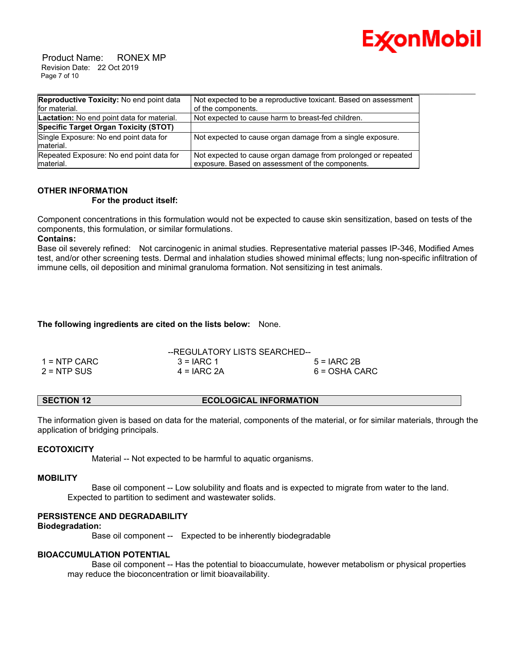

 Product Name: RONEX MP Revision Date: 22 Oct 2019 Page 7 of 10

| Reproductive Toxicity: No end point data             | Not expected to be a reproductive toxicant. Based on assessment |
|------------------------------------------------------|-----------------------------------------------------------------|
| for material.                                        | of the components.                                              |
| Lactation: No end point data for material.           | Not expected to cause harm to breast-fed children.              |
| Specific Target Organ Toxicity (STOT)                |                                                                 |
| Single Exposure: No end point data for<br>Imaterial. | Not expected to cause organ damage from a single exposure.      |
| Repeated Exposure: No end point data for             | Not expected to cause organ damage from prolonged or repeated   |
| Imaterial.                                           | exposure. Based on assessment of the components.                |

# **OTHER INFORMATION**

#### **For the product itself:**

Component concentrations in this formulation would not be expected to cause skin sensitization, based on tests of the components, this formulation, or similar formulations.

### **Contains:**

Base oil severely refined: Not carcinogenic in animal studies. Representative material passes IP-346, Modified Ames test, and/or other screening tests. Dermal and inhalation studies showed minimal effects; lung non-specific infiltration of immune cells, oil deposition and minimal granuloma formation. Not sensitizing in test animals.

# **The following ingredients are cited on the lists below:** None.

|               | --REGULATORY LISTS SEARCHED-- |               |
|---------------|-------------------------------|---------------|
| 1 = NTP CARC  | $3 = IARC 1$                  | $5 = IARC2B$  |
| $2 = NTP$ SUS | $4 = IARC 2A$                 | 6 = OSHA CARC |

# **SECTION 12 ECOLOGICAL INFORMATION**

The information given is based on data for the material, components of the material, or for similar materials, through the application of bridging principals.

### **ECOTOXICITY**

Material -- Not expected to be harmful to aquatic organisms.

### **MOBILITY**

 Base oil component -- Low solubility and floats and is expected to migrate from water to the land. Expected to partition to sediment and wastewater solids.

# **PERSISTENCE AND DEGRADABILITY**

### **Biodegradation:**

Base oil component -- Expected to be inherently biodegradable

### **BIOACCUMULATION POTENTIAL**

 Base oil component -- Has the potential to bioaccumulate, however metabolism or physical properties may reduce the bioconcentration or limit bioavailability.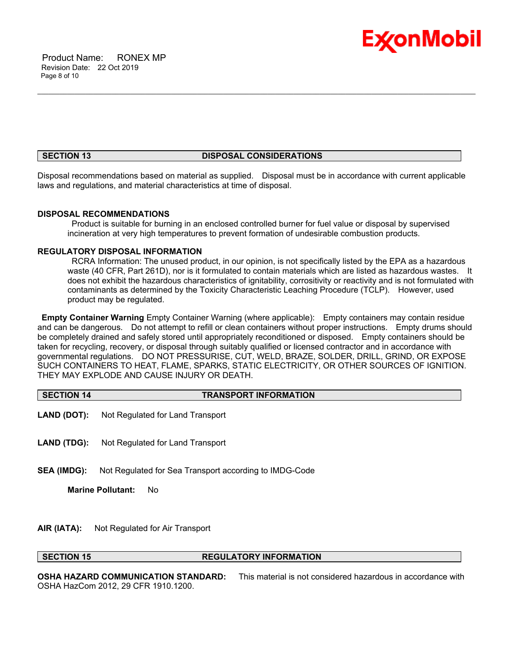

#### **SECTION 13 DISPOSAL CONSIDERATIONS**

\_\_\_\_\_\_\_\_\_\_\_\_\_\_\_\_\_\_\_\_\_\_\_\_\_\_\_\_\_\_\_\_\_\_\_\_\_\_\_\_\_\_\_\_\_\_\_\_\_\_\_\_\_\_\_\_\_\_\_\_\_\_\_\_\_\_\_\_\_\_\_\_\_\_\_\_\_\_\_\_\_\_\_\_\_\_\_\_\_\_\_\_\_\_\_\_\_\_\_\_\_\_\_\_\_\_\_\_\_\_\_\_\_\_\_\_\_\_

Disposal recommendations based on material as supplied. Disposal must be in accordance with current applicable laws and regulations, and material characteristics at time of disposal.

#### **DISPOSAL RECOMMENDATIONS**

 Product is suitable for burning in an enclosed controlled burner for fuel value or disposal by supervised incineration at very high temperatures to prevent formation of undesirable combustion products.

#### **REGULATORY DISPOSAL INFORMATION**

 RCRA Information: The unused product, in our opinion, is not specifically listed by the EPA as a hazardous waste (40 CFR, Part 261D), nor is it formulated to contain materials which are listed as hazardous wastes. It does not exhibit the hazardous characteristics of ignitability, corrositivity or reactivity and is not formulated with contaminants as determined by the Toxicity Characteristic Leaching Procedure (TCLP). However, used product may be regulated.

**Empty Container Warning** Empty Container Warning (where applicable): Empty containers may contain residue and can be dangerous. Do not attempt to refill or clean containers without proper instructions. Empty drums should be completely drained and safely stored until appropriately reconditioned or disposed. Empty containers should be taken for recycling, recovery, or disposal through suitably qualified or licensed contractor and in accordance with governmental regulations. DO NOT PRESSURISE, CUT, WELD, BRAZE, SOLDER, DRILL, GRIND, OR EXPOSE SUCH CONTAINERS TO HEAT, FLAME, SPARKS, STATIC ELECTRICITY, OR OTHER SOURCES OF IGNITION. THEY MAY EXPLODE AND CAUSE INJURY OR DEATH.

# **SECTION 14 TRANSPORT INFORMATION**

- **LAND (DOT):** Not Regulated for Land Transport
- **LAND (TDG):** Not Regulated for Land Transport
- **SEA (IMDG):** Not Regulated for Sea Transport according to IMDG-Code

**Marine Pollutant:** No

**AIR (IATA):** Not Regulated for Air Transport

#### **SECTION 15 REGULATORY INFORMATION**

**OSHA HAZARD COMMUNICATION STANDARD:** This material is not considered hazardous in accordance with OSHA HazCom 2012, 29 CFR 1910.1200.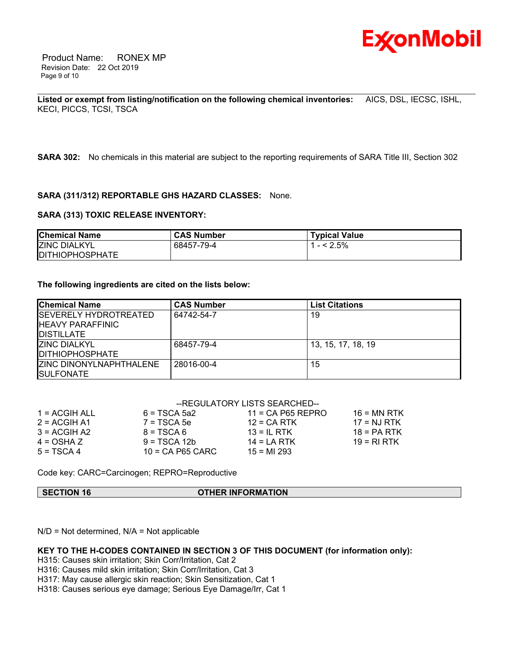

 Product Name: RONEX MP Revision Date: 22 Oct 2019 Page 9 of 10

\_\_\_\_\_\_\_\_\_\_\_\_\_\_\_\_\_\_\_\_\_\_\_\_\_\_\_\_\_\_\_\_\_\_\_\_\_\_\_\_\_\_\_\_\_\_\_\_\_\_\_\_\_\_\_\_\_\_\_\_\_\_\_\_\_\_\_\_\_\_\_\_\_\_\_\_\_\_\_\_\_\_\_\_\_\_\_\_\_\_\_\_\_\_\_\_\_\_\_\_\_\_\_\_\_\_\_\_\_\_\_\_\_\_\_\_\_\_ **Listed or exempt from listing/notification on the following chemical inventories:** AICS, DSL, IECSC, ISHL, KECI, PICCS, TCSI, TSCA

**SARA 302:** No chemicals in this material are subject to the reporting requirements of SARA Title III, Section 302

#### **SARA (311/312) REPORTABLE GHS HAZARD CLASSES:** None.

#### **SARA (313) TOXIC RELEASE INVENTORY:**

| <b>Chemical Name</b>   | <b>CAS Number</b> | <b>Typical Value</b> |
|------------------------|-------------------|----------------------|
| <b>IZINC DIALKYL</b>   | 68457-79-4        | $1 - 5\%$            |
| <b>DITHIOPHOSPHATE</b> |                   |                      |

#### **The following ingredients are cited on the lists below:**

| <b>Chemical Name</b>                                                     | <b>CAS Number</b> | <b>List Citations</b> |
|--------------------------------------------------------------------------|-------------------|-----------------------|
| ISEVERELY HYDROTREATED<br><b>IHEAVY PARAFFINIC</b><br><b>IDISTILLATE</b> | 64742-54-7        | 19                    |
| IZINC DIALKYL<br><b>IDITHIOPHOSPHATE</b>                                 | 68457-79-4        | 13, 15, 17, 18, 19    |
| <b>IZINC DINONYLNAPHTHALENE</b><br><b>ISULFONATE</b>                     | 28016-00-4        | 15                    |

|                 | --REGULATORY LISTS SEARCHED-- |                     |               |
|-----------------|-------------------------------|---------------------|---------------|
| $1 = ACGIH ALL$ | $6 = TSCA 5a2$                | $11 = CA$ P65 REPRO | $16$ = MN RTK |
| $2 = ACGIH A1$  | $7 = TSCA5e$                  | $12$ = CA RTK       | $17 = NJ RTK$ |
| $3 = ACGH A2$   | $8 = TSCA6$                   | $13 = IL$ RTK       | $18 = PA RTK$ |
| $4 = OSHA Z$    | $9 = TSCA 12b$                | $14 = LA RTK$       | 19 = RI RTK   |
| $5 = TSCA4$     | $10$ = CA P65 CARC            | $15 = M1 293$       |               |

Code key: CARC=Carcinogen; REPRO=Reproductive

#### **SECTION 16 OTHER INFORMATION**

N/D = Not determined, N/A = Not applicable

### **KEY TO THE H-CODES CONTAINED IN SECTION 3 OF THIS DOCUMENT (for information only):**

H315: Causes skin irritation; Skin Corr/Irritation, Cat 2

H316: Causes mild skin irritation; Skin Corr/Irritation, Cat 3

H317: May cause allergic skin reaction; Skin Sensitization, Cat 1

H318: Causes serious eye damage; Serious Eye Damage/Irr, Cat 1